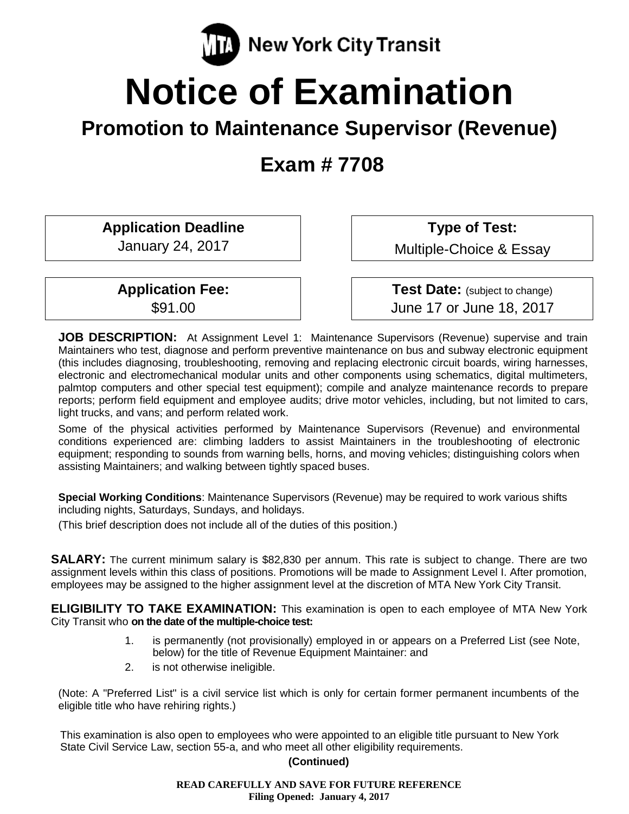

# **Notice of Examination**

# **Promotion to Maintenance Supervisor (Revenue)**

**Exam # 7708**

**Application Deadline**

January 24, 2017

**Application Fee:** \$91.00

**Type of Test:** 

Multiple-Choice & Essay

**Test Date:** (subject to change) June 17 or June 18, 2017

**JOB DESCRIPTION:** At Assignment Level 1: Maintenance Supervisors (Revenue) supervise and train Maintainers who test, diagnose and perform preventive maintenance on bus and subway electronic equipment (this includes diagnosing, troubleshooting, removing and replacing electronic circuit boards, wiring harnesses, electronic and electromechanical modular units and other components using schematics, digital multimeters, palmtop computers and other special test equipment); compile and analyze maintenance records to prepare reports; perform field equipment and employee audits; drive motor vehicles, including, but not limited to cars, light trucks, and vans; and perform related work.

Some of the physical activities performed by Maintenance Supervisors (Revenue) and environmental conditions experienced are: climbing ladders to assist Maintainers in the troubleshooting of electronic equipment; responding to sounds from warning bells, horns, and moving vehicles; distinguishing colors when assisting Maintainers; and walking between tightly spaced buses.

**Special Working Conditions**: Maintenance Supervisors (Revenue) may be required to work various shifts including nights, Saturdays, Sundays, and holidays.

(This brief description does not include all of the duties of this position.)

**SALARY:** The current minimum salary is \$82,830 per annum. This rate is subject to change. There are two assignment levels within this class of positions. Promotions will be made to Assignment Level I. After promotion, employees may be assigned to the higher assignment level at the discretion of MTA New York City Transit.

**ELIGIBILITY TO TAKE EXAMINATION:** This examination is open to each employee of MTA New York City Transit who **on the date of the multiple-choice test:**

- 1. is permanently (not provisionally) employed in or appears on a Preferred List (see Note, below) for the title of Revenue Equipment Maintainer: and
- 2. is not otherwise ineligible.

(Note: A "Preferred List" is a civil service list which is only for certain former permanent incumbents of the eligible title who have rehiring rights.)

This examination is also open to employees who were appointed to an eligible title pursuant to New York State Civil Service Law, section 55-a, and who meet all other eligibility requirements.

#### **(Continued)**

**READ CAREFULLY AND SAVE FOR FUTURE REFERENCE Filing Opened: January 4, 2017**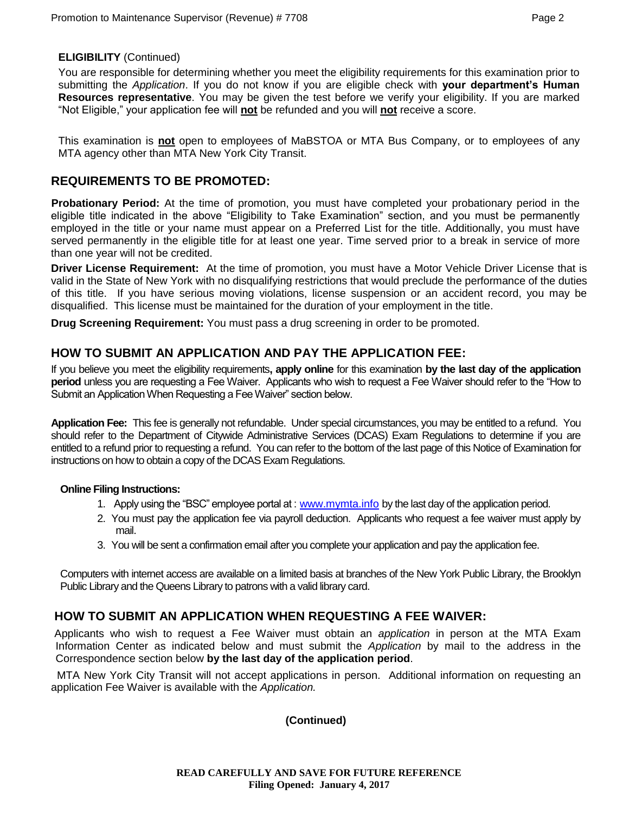#### **ELIGIBILITY** (Continued)

You are responsible for determining whether you meet the eligibility requirements for this examination prior to submitting the *Application*. If you do not know if you are eligible check with **your department's Human Resources representative**. You may be given the test before we verify your eligibility. If you are marked "Not Eligible," your application fee will **not** be refunded and you will **not** receive a score.

This examination is **not** open to employees of MaBSTOA or MTA Bus Company, or to employees of any MTA agency other than MTA New York City Transit.

# **REQUIREMENTS TO BE PROMOTED:**

**Probationary Period:** At the time of promotion, you must have completed your probationary period in the eligible title indicated in the above "Eligibility to Take Examination" section, and you must be permanently employed in the title or your name must appear on a Preferred List for the title. Additionally, you must have served permanently in the eligible title for at least one year. Time served prior to a break in service of more than one year will not be credited.

**Driver License Requirement:** At the time of promotion, you must have a Motor Vehicle Driver License that is valid in the State of New York with no disqualifying restrictions that would preclude the performance of the duties of this title. If you have serious moving violations, license suspension or an accident record, you may be disqualified. This license must be maintained for the duration of your employment in the title.

**Drug Screening Requirement:** You must pass a drug screening in order to be promoted.

# **HOW TO SUBMIT AN APPLICATION AND PAY THE APPLICATION FEE:**

If you believe you meet the eligibility requirements**, apply online** for this examination **by the last day of the application period** unless you are requesting a Fee Waiver. Applicants who wish to request a Fee Waiver should refer to the "How to Submit an Application When Requesting a Fee Waiver" section below.

**Application Fee:** This fee is generally not refundable. Under special circumstances, you may be entitled to a refund. You should refer to the Department of Citywide Administrative Services (DCAS) Exam Regulations to determine if you are entitled to a refund prior to requesting a refund. You can refer to the bottom of the last page of this Notice of Examination for instructions on how to obtain a copy of the DCAS Exam Regulations.

#### **Online Filing Instructions:**

- 1. Apply using the "BSC" employee portal at : [www.mymta.info](../../AppData/Local/Microsoft/Windows/Temporary%20Internet%20Files/Content.Outlook/30OI7UEJ/www.mymta.info) by the last day of the application period.
- 2. You must pay the application fee via payroll deduction. Applicants who request a fee waiver must apply by mail.
- 3. You will be sent a confirmation email after you complete your application and pay the application fee.

Computers with internet access are available on a limited basis at branches of the New York Public Library, the Brooklyn Public Library and the Queens Library to patrons with a valid library card.

# **HOW TO SUBMIT AN APPLICATION WHEN REQUESTING A FEE WAIVER:**

Applicants who wish to request a Fee Waiver must obtain an *application* in person at the MTA Exam Information Center as indicated below and must submit the *Application* by mail to the address in the Correspondence section below **by the last day of the application period**.

MTA New York City Transit will not accept applications in person. Additional information on requesting an application Fee Waiver is available with the *Application.*

**(Continued)**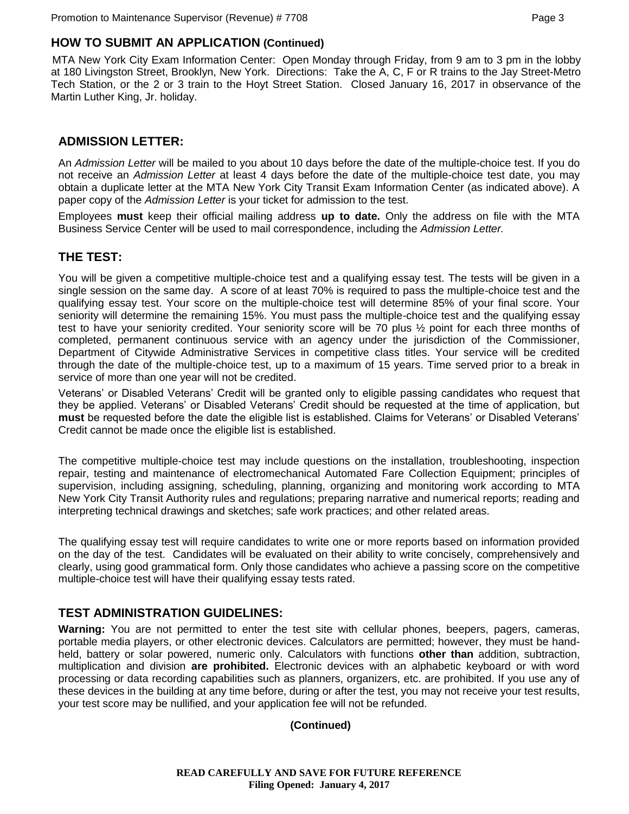# **HOW TO SUBMIT AN APPLICATION (Continued)**

MTA New York City Exam Information Center: Open Monday through Friday, from 9 am to 3 pm in the lobby at 180 Livingston Street, Brooklyn, New York. Directions: Take the A, C, F or R trains to the Jay Street-Metro Tech Station, or the 2 or 3 train to the Hoyt Street Station. Closed January 16, 2017 in observance of the Martin Luther King, Jr. holiday.

# **ADMISSION LETTER:**

An *Admission Letter* will be mailed to you about 10 days before the date of the multiple-choice test. If you do not receive an *Admission Letter* at least 4 days before the date of the multiple-choice test date, you may obtain a duplicate letter at the MTA New York City Transit Exam Information Center (as indicated above). A paper copy of the *Admission Letter* is your ticket for admission to the test.

Employees **must** keep their official mailing address **up to date.** Only the address on file with the MTA Business Service Center will be used to mail correspondence, including the *Admission Letter.*

# **THE TEST:**

You will be given a competitive multiple-choice test and a qualifying essay test. The tests will be given in a single session on the same day. A score of at least 70% is required to pass the multiple-choice test and the qualifying essay test. Your score on the multiple-choice test will determine 85% of your final score. Your seniority will determine the remaining 15%. You must pass the multiple-choice test and the qualifying essay test to have your seniority credited. Your seniority score will be 70 plus ½ point for each three months of completed, permanent continuous service with an agency under the jurisdiction of the Commissioner, Department of Citywide Administrative Services in competitive class titles. Your service will be credited through the date of the multiple-choice test, up to a maximum of 15 years. Time served prior to a break in service of more than one year will not be credited.

Veterans' or Disabled Veterans' Credit will be granted only to eligible passing candidates who request that they be applied. Veterans' or Disabled Veterans' Credit should be requested at the time of application, but **must** be requested before the date the eligible list is established. Claims for Veterans' or Disabled Veterans' Credit cannot be made once the eligible list is established.

The competitive multiple-choice test may include questions on the installation, troubleshooting, inspection repair, testing and maintenance of electromechanical Automated Fare Collection Equipment; principles of supervision, including assigning, scheduling, planning, organizing and monitoring work according to MTA New York City Transit Authority rules and regulations; preparing narrative and numerical reports; reading and interpreting technical drawings and sketches; safe work practices; and other related areas.

The qualifying essay test will require candidates to write one or more reports based on information provided on the day of the test. Candidates will be evaluated on their ability to write concisely, comprehensively and clearly, using good grammatical form. Only those candidates who achieve a passing score on the competitive multiple-choice test will have their qualifying essay tests rated.

### **TEST ADMINISTRATION GUIDELINES:**

**Warning:** You are not permitted to enter the test site with cellular phones, beepers, pagers, cameras, portable media players, or other electronic devices. Calculators are permitted; however, they must be handheld, battery or solar powered, numeric only. Calculators with functions **other than** addition, subtraction, multiplication and division **are prohibited.** Electronic devices with an alphabetic keyboard or with word processing or data recording capabilities such as planners, organizers, etc. are prohibited. If you use any of these devices in the building at any time before, during or after the test, you may not receive your test results, your test score may be nullified, and your application fee will not be refunded.

#### **(Continued)**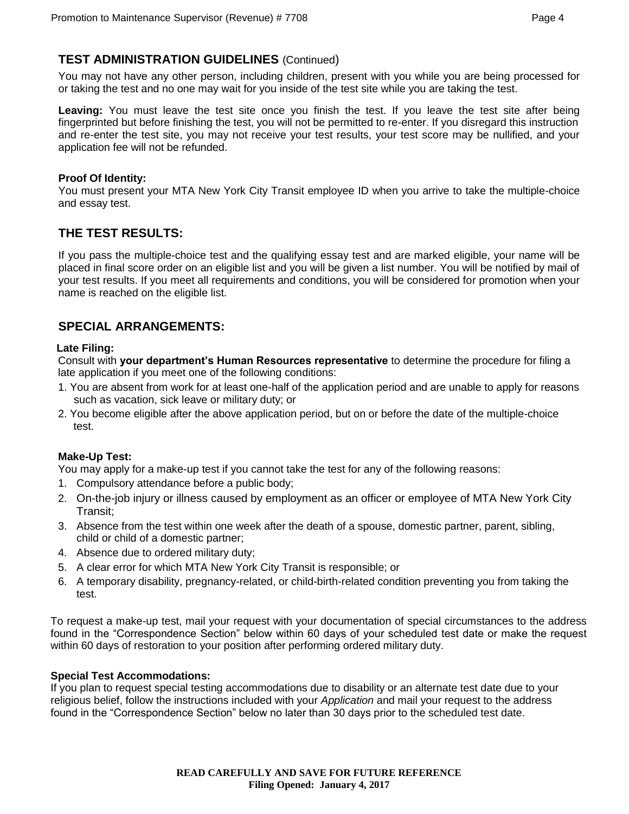# **TEST ADMINISTRATION GUIDELINES** (Continued)

You may not have any other person, including children, present with you while you are being processed for or taking the test and no one may wait for you inside of the test site while you are taking the test.

**Leaving:** You must leave the test site once you finish the test. If you leave the test site after being fingerprinted but before finishing the test, you will not be permitted to re-enter. If you disregard this instruction and re-enter the test site, you may not receive your test results, your test score may be nullified, and your application fee will not be refunded.

#### **Proof Of Identity:**

You must present your MTA New York City Transit employee ID when you arrive to take the multiple-choice and essay test.

# **THE TEST RESULTS:**

If you pass the multiple-choice test and the qualifying essay test and are marked eligible, your name will be placed in final score order on an eligible list and you will be given a list number. You will be notified by mail of your test results. If you meet all requirements and conditions, you will be considered for promotion when your name is reached on the eligible list.

# **SPECIAL ARRANGEMENTS:**

#### **Late Filing:**

Consult with **your department's Human Resources representative** to determine the procedure for filing a late application if you meet one of the following conditions:

- 1. You are absent from work for at least one-half of the application period and are unable to apply for reasons such as vacation, sick leave or military duty; or
- 2. You become eligible after the above application period, but on or before the date of the multiple-choice test.

#### **Make-Up Test:**

You may apply for a make-up test if you cannot take the test for any of the following reasons:

- 1. Compulsory attendance before a public body;
- 2. On-the-job injury or illness caused by employment as an officer or employee of MTA New York City Transit;
- 3. Absence from the test within one week after the death of a spouse, domestic partner, parent, sibling, child or child of a domestic partner;
- 4. Absence due to ordered military duty;
- 5. A clear error for which MTA New York City Transit is responsible; or
- 6. A temporary disability, pregnancy-related, or child-birth-related condition preventing you from taking the test.

To request a make-up test, mail your request with your documentation of special circumstances to the address found in the "Correspondence Section" below within 60 days of your scheduled test date or make the request within 60 days of restoration to your position after performing ordered military duty.

#### **Special Test Accommodations:**

If you plan to request special testing accommodations due to disability or an alternate test date due to your religious belief, follow the instructions included with your *Application* and mail your request to the address found in the "Correspondence Section" below no later than 30 days prior to the scheduled test date.